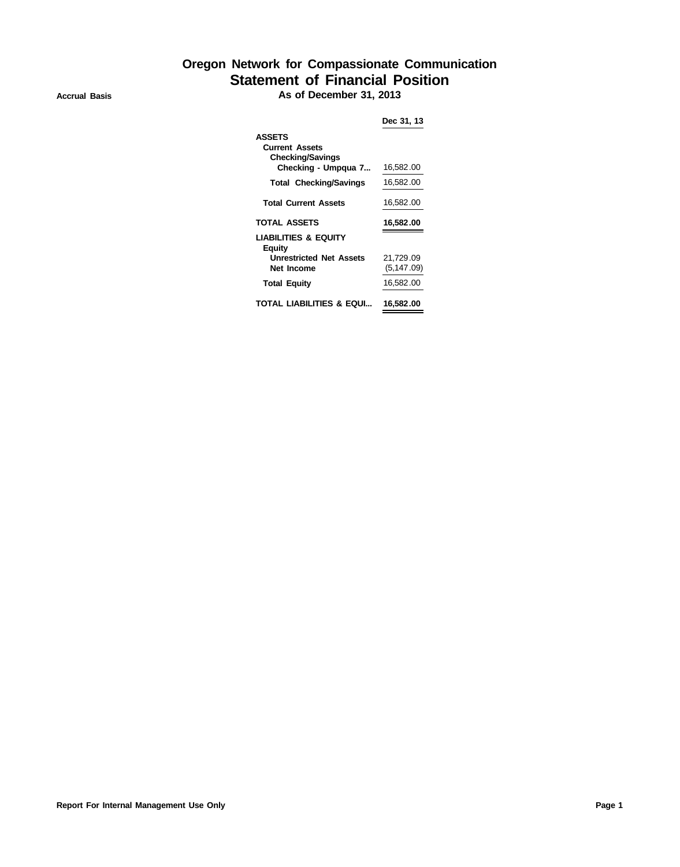## **Oregon Network for Compassionate Communication Statement of Financial Position**

**Accrual Basis As of December 31, 2013**

| <b>ASSETS</b><br><b>Current Assets</b><br><b>Checking/Savings</b> |             |
|-------------------------------------------------------------------|-------------|
| Checking - Umpgua 7                                               | 16,582.00   |
| <b>Total Checking/Savings</b>                                     | 16,582.00   |
| <b>Total Current Assets</b>                                       | 16,582.00   |
| <b>TOTAL ASSETS</b>                                               | 16,582.00   |
| <b>LIABILITIES &amp; EQUITY</b><br>Equity                         |             |
| <b>Unrestricted Net Assets</b>                                    | 21,729.09   |
| <b>Net Income</b>                                                 | (5, 147.09) |
| <b>Total Equity</b>                                               | 16,582.00   |
|                                                                   |             |